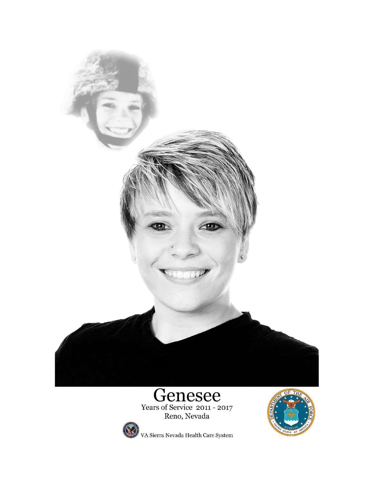

# **Genesee**<br>Years of Service 2011 - 2017<br>Reno, Nevada



VA Sierra Nevada Health Care System

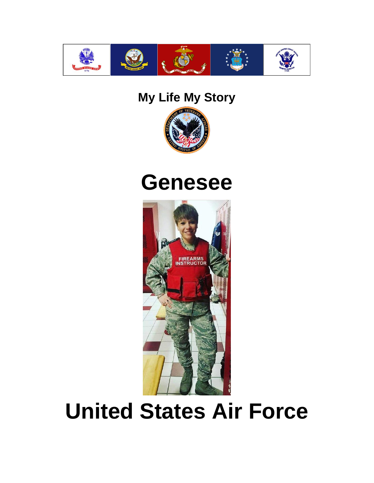

#### **My Life My Story**



### **Genesee**



## **United States Air Force**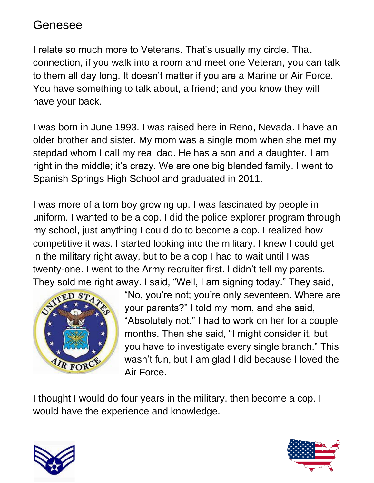I relate so much more to Veterans. That's usually my circle. That connection, if you walk into a room and meet one Veteran, you can talk to them all day long. It doesn't matter if you are a Marine or Air Force. You have something to talk about, a friend; and you know they will have your back.

I was born in June 1993. I was raised here in Reno, Nevada. I have an older brother and sister. My mom was a single mom when she met my stepdad whom I call my real dad. He has a son and a daughter. I am right in the middle; it's crazy. We are one big blended family. I went to Spanish Springs High School and graduated in 2011.

I was more of a tom boy growing up. I was fascinated by people in uniform. I wanted to be a cop. I did the police explorer program through my school, just anything I could do to become a cop. I realized how competitive it was. I started looking into the military. I knew I could get in the military right away, but to be a cop I had to wait until I was twenty-one. I went to the Army recruiter first. I didn't tell my parents. They sold me right away. I said, "Well, I am signing today." They said,



"No, you're not; you're only seventeen. Where are your parents?" I told my mom, and she said, "Absolutely not." I had to work on her for a couple months. Then she said, "I might consider it, but you have to investigate every single branch." This wasn't fun, but I am glad I did because I loved the Air Force.

I thought I would do four years in the military, then become a cop. I would have the experience and knowledge.



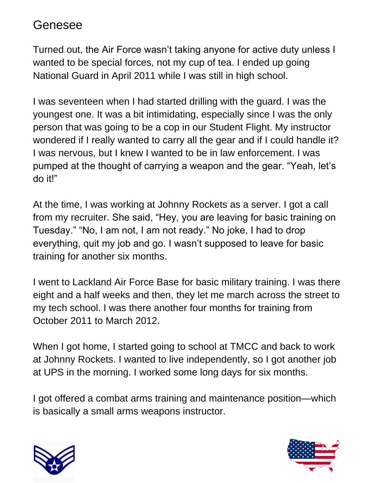Turned out, the Air Force wasn't taking anyone for active duty unless I wanted to be special forces, not my cup of tea. I ended up going National Guard in April 2011 while I was still in high school.

I was seventeen when I had started drilling with the guard. I was the youngest one. It was a bit intimidating, especially since I was the only person that was going to be a cop in our Student Flight. My instructor wondered if I really wanted to carry all the gear and if I could handle it? I was nervous, but I knew I wanted to be in law enforcement. I was pumped at the thought of carrying a weapon and the gear. "Yeah, let's do it!"

At the time, I was working at Johnny Rockets as a server. I got a call from my recruiter. She said, "Hey, you are leaving for basic training on Tuesday." "No, I am not, I am not ready." No joke, I had to drop everything, quit my job and go. I wasn't supposed to leave for basic training for another six months.

I went to Lackland Air Force Base for basic military training. I was there eight and a half weeks and then, they let me march across the street to my tech school. I was there another four months for training from October 2011 to March 2012.

When I got home, I started going to school at TMCC and back to work at Johnny Rockets. I wanted to live independently, so I got another job at UPS in the morning. I worked some long days for six months.

I got offered a combat arms training and maintenance position—which is basically a small arms weapons instructor.



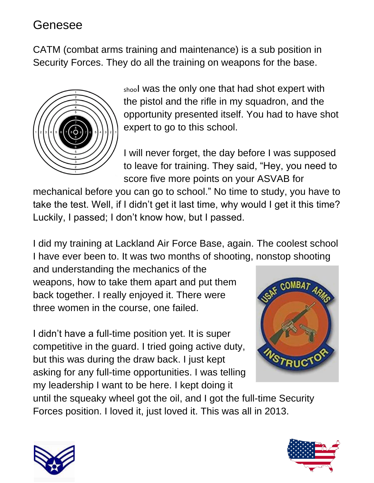CATM (combat arms training and maintenance) is a sub position in Security Forces. They do all the training on weapons for the base.



shool was the only one that had shot expert with the pistol and the rifle in my squadron, and the opportunity presented itself. You had to have shot expert to go to this school.

I will never forget, the day before I was supposed to leave for training. They said, "Hey, you need to score five more points on your ASVAB for

mechanical before you can go to school." No time to study, you have to take the test. Well, if I didn't get it last time, why would I get it this time? Luckily, I passed; I don't know how, but I passed.

I did my training at Lackland Air Force Base, again. The coolest school I have ever been to. It was two months of shooting, nonstop shooting

and understanding the mechanics of the weapons, how to take them apart and put them back together. I really enjoyed it. There were three women in the course, one failed.

I didn't have a full-time position yet. It is super competitive in the guard. I tried going active duty, but this was during the draw back. I just kept asking for any full-time opportunities. I was telling my leadership I want to be here. I kept doing it



until the squeaky wheel got the oil, and I got the full-time Security Forces position. I loved it, just loved it. This was all in 2013.



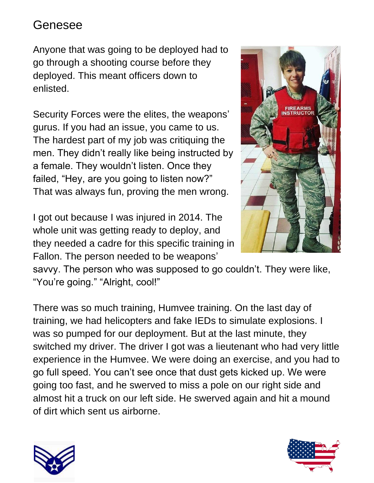Anyone that was going to be deployed had to go through a shooting course before they deployed. This meant officers down to enlisted.

Security Forces were the elites, the weapons' gurus. If you had an issue, you came to us. The hardest part of my job was critiquing the men. They didn't really like being instructed by a female. They wouldn't listen. Once they failed, "Hey, are you going to listen now?" That was always fun, proving the men wrong.

I got out because I was injured in 2014. The whole unit was getting ready to deploy, and they needed a cadre for this specific training in Fallon. The person needed to be weapons'



savvy. The person who was supposed to go couldn't. They were like, "You're going." "Alright, cool!"

There was so much training, Humvee training. On the last day of training, we had helicopters and fake IEDs to simulate explosions. I was so pumped for our deployment. But at the last minute, they switched my driver. The driver I got was a lieutenant who had very little experience in the Humvee. We were doing an exercise, and you had to go full speed. You can't see once that dust gets kicked up. We were going too fast, and he swerved to miss a pole on our right side and almost hit a truck on our left side. He swerved again and hit a mound of dirt which sent us airborne.



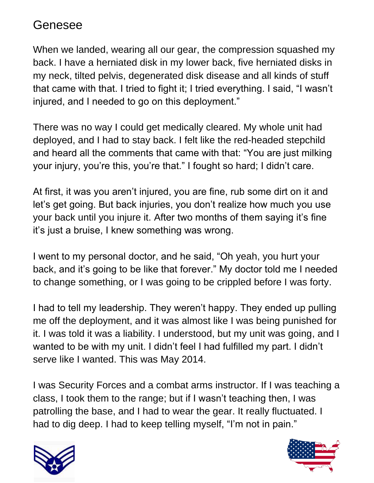When we landed, wearing all our gear, the compression squashed my back. I have a herniated disk in my lower back, five herniated disks in my neck, tilted pelvis, degenerated disk disease and all kinds of stuff that came with that. I tried to fight it; I tried everything. I said, "I wasn't injured, and I needed to go on this deployment."

There was no way I could get medically cleared. My whole unit had deployed, and I had to stay back. I felt like the red-headed stepchild and heard all the comments that came with that: "You are just milking your injury, you're this, you're that." I fought so hard; I didn't care.

At first, it was you aren't injured, you are fine, rub some dirt on it and let's get going. But back injuries, you don't realize how much you use your back until you injure it. After two months of them saying it's fine it's just a bruise, I knew something was wrong.

I went to my personal doctor, and he said, "Oh yeah, you hurt your back, and it's going to be like that forever." My doctor told me I needed to change something, or I was going to be crippled before I was forty.

I had to tell my leadership. They weren't happy. They ended up pulling me off the deployment, and it was almost like I was being punished for it. I was told it was a liability. I understood, but my unit was going, and I wanted to be with my unit. I didn't feel I had fulfilled my part. I didn't serve like I wanted. This was May 2014.

I was Security Forces and a combat arms instructor. If I was teaching a class, I took them to the range; but if I wasn't teaching then, I was patrolling the base, and I had to wear the gear. It really fluctuated. I had to dig deep. I had to keep telling myself, "I'm not in pain."



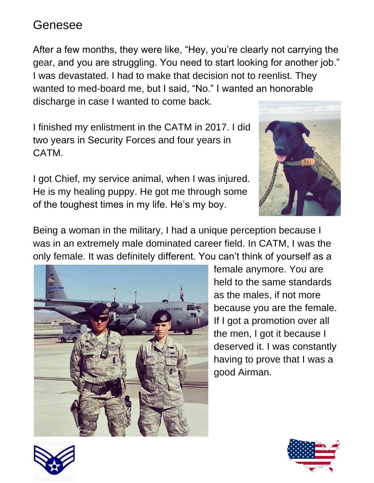After a few months, they were like, "Hey, you're clearly not carrying the gear, and you are struggling. You need to start looking for another job." I was devastated. I had to make that decision not to reenlist. They wanted to med-board me, but I said, "No." I wanted an honorable discharge in case I wanted to come back.

I finished my enlistment in the CATM in 2017. I did two years in Security Forces and four years in CATM.

I got Chief, my service animal, when I was injured. He is my healing puppy. He got me through some of the toughest times in my life. He's my boy.



Being a woman in the military, I had a unique perception because I was in an extremely male dominated career field. In CATM, I was the only female. It was definitely different. You can't think of yourself as a



female anymore. You are held to the same standards as the males, if not more because you are the female. If I got a promotion over all the men, I got it because I deserved it. I was constantly having to prove that I was a good Airman.



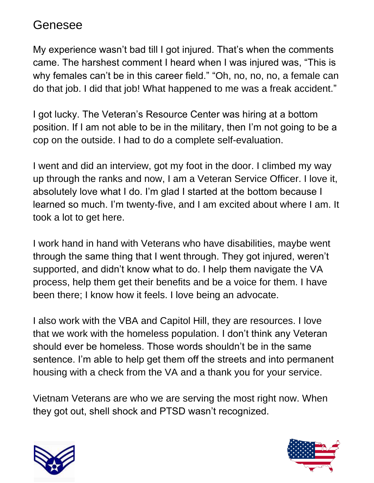My experience wasn't bad till I got injured. That's when the comments came. The harshest comment I heard when I was injured was, "This is why females can't be in this career field." "Oh, no, no, no, a female can do that job. I did that job! What happened to me was a freak accident."

I got lucky. The Veteran's Resource Center was hiring at a bottom position. If I am not able to be in the military, then I'm not going to be a cop on the outside. I had to do a complete self-evaluation.

I went and did an interview, got my foot in the door. I climbed my way up through the ranks and now, I am a Veteran Service Officer. I love it, absolutely love what I do. I'm glad I started at the bottom because I learned so much. I'm twenty-five, and I am excited about where I am. It took a lot to get here.

I work hand in hand with Veterans who have disabilities, maybe went through the same thing that I went through. They got injured, weren't supported, and didn't know what to do. I help them navigate the VA process, help them get their benefits and be a voice for them. I have been there; I know how it feels. I love being an advocate.

I also work with the VBA and Capitol Hill, they are resources. I love that we work with the homeless population. I don't think any Veteran should ever be homeless. Those words shouldn't be in the same sentence. I'm able to help get them off the streets and into permanent housing with a check from the VA and a thank you for your service.

Vietnam Veterans are who we are serving the most right now. When they got out, shell shock and PTSD wasn't recognized.



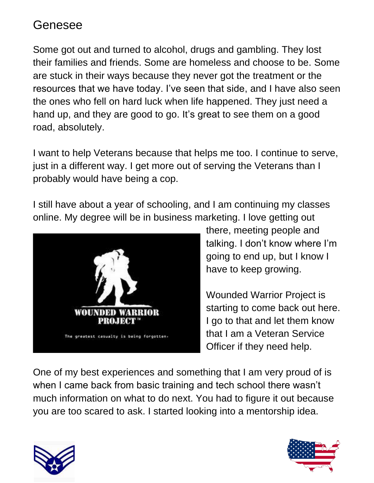Some got out and turned to alcohol, drugs and gambling. They lost their families and friends. Some are homeless and choose to be. Some are stuck in their ways because they never got the treatment or the resources that we have today. I've seen that side, and I have also seen the ones who fell on hard luck when life happened. They just need a hand up, and they are good to go. It's great to see them on a good road, absolutely.

I want to help Veterans because that helps me too. I continue to serve, just in a different way. I get more out of serving the Veterans than I probably would have being a cop.

I still have about a year of schooling, and I am continuing my classes online. My degree will be in business marketing. I love getting out



there, meeting people and talking. I don't know where I'm going to end up, but I know I have to keep growing.

Wounded Warrior Project is starting to come back out here. I go to that and let them know that I am a Veteran Service Officer if they need help.

One of my best experiences and something that I am very proud of is when I came back from basic training and tech school there wasn't much information on what to do next. You had to figure it out because you are too scared to ask. I started looking into a mentorship idea.